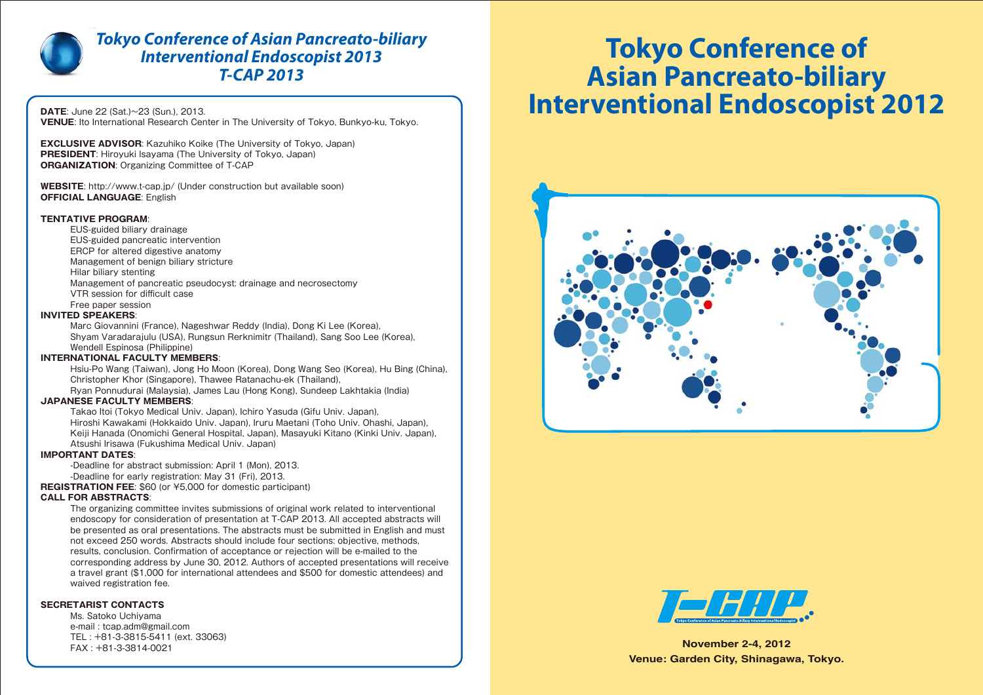**November 2-4, 2012 Venue: Garden City, Shinagawa, Tokyo.**

**DATE**: June 22 (Sat.)~23 (Sun.), 2013. **VENUE**: Ito International Research Center in The University of Tokyo, Bunkyo-ku, Tokyo.

**EXCLUSIVE ADVISOR**: Kazuhiko Koike (The University of Tokyo, Japan) **PRESIDENT:** Hiroyuki Isayama (The University of Tokyo, Japan) **ORGANIZATION**: Organizing Committee of T-CAP

**WEBSITE**: http://www.t-cap.jp/ (Under construction but available soon) **OFFICIAL LANGUAGE**: English

#### **TENTATIVE PROGRAM**:

 EUS-guided biliary drainage EUS-guided pancreatic intervention ERCP for altered digestive anatomy Management of benign biliary stricture Hilar biliary stenting Management of pancreatic pseudocyst: drainage and necrosectomy VTR session for difficult case Free paper session

#### **INVITED SPEAKERS**:

 Marc Giovannini (France), Nageshwar Reddy (India), Dong Ki Lee (Korea), Shyam Varadarajulu (USA), Rungsun Rerknimitr (Thailand), Sang Soo Lee (Korea), Wendell Espinosa (Philippine)

#### **INTERNATIONAL FACULTY MEMBERS**:

 Hsiu-Po Wang (Taiwan), Jong Ho Moon (Korea), Dong Wang Seo (Korea), Hu Bing (China), Christopher Khor (Singapore), Thawee Ratanachu-ek (Thailand),

Ryan Ponnudurai (Malaysia), James Lau (Hong Kong), Sundeep Lakhtakia (India)

#### **JAPANESE FACULTY MEMBERS**:

 Takao Itoi (Tokyo Medical Univ. Japan), Ichiro Yasuda (Gifu Univ. Japan), Hiroshi Kawakami (Hokkaido Univ. Japan), Iruru Maetani (Toho Univ. Ohashi, Japan), Keiji Hanada (Onomichi General Hospital, Japan), Masayuki Kitano (Kinki Univ. Japan), Atsushi Irisawa (Fukushima Medical Univ. Japan)

#### **IMPORTANT DATES**:

 -Deadline for abstract submission: April 1 (Mon), 2013. -Deadline for early registration: May 31 (Fri), 2013.

**REGISTRATION FEE**: \$60 (or ¥5,000 for domestic participant)

#### **CALL FOR ABSTRACTS**:

 The organizing committee invites submissions of original work related to interventional endoscopy for consideration of presentation at T-CAP 2013. All accepted abstracts will be presented as oral presentations. The abstracts must be submitted in English and must not exceed 250 words. Abstracts should include four sections: objective, methods, results, conclusion. Confirmation of acceptance or rejection will be e-mailed to the corresponding address by June 30, 2012. Authors of accepted presentations will receive a travel grant (\$1,000 for international attendees and \$500 for domestic attendees) and waived registration fee.

#### **SECRETARIST CONTACTS**

 Ms. Satoko Uchiyama e-mail : tcap.adm@gmail.com TEL : +81-3-3815-5411 (ext. 33063) FAX : +81-3-3814-0021

# **Tokyo Conference of Asian Pancreato-biliary Interventional Endoscopist 2012**







# *Tokyo Conference of Asian Pancreato-biliary Interventional Endoscopist 2013 T-CAP 2013*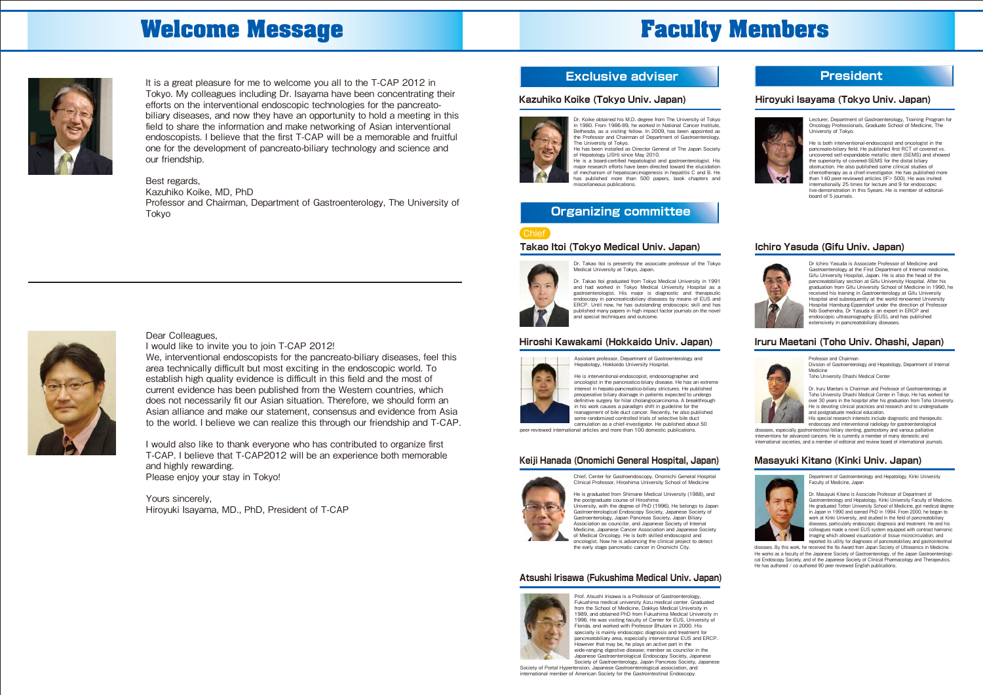Dr. Koike obtained his M.D. degree from The University of Tokyo in 1980. From 1986-89, he worked in National Cancer Institute, Bethesda, as a visiting fellow. In 2009, has been appointed as the Professor and Chairman of Department of Gastroenterology, The University of Tokyo.

major research efforts have been directed toward the elucidation of mechanism of hepatocarcinogenesis in hepatitis C and B. He has published more than 500 papers, book chapters and .<br>scellaneous publications.

He has been installed as Director General of The Japan Society of Hepatology (JSH) since May 2010. He is a board-certified hepatologist and gastroenterologist. His

#### **Kazuhiko Koike (Tokyo Univ. Japan)**



Lecturer, Department of Gastroenterology, Training Program for Oncology Professionals, Graduate School of Medicine, The University of Tokyo.

He is both interventional-endoscopist and oncologist in the pancreato-biliary field. He published first RCT of covered vs. uncovered self-expandable metallic stent (SEMS) and showed the superiority of covered-SEMS for the distal biliary obstruction. He also published some clinical studies of chemotherapy as a chief-investigator. He has published more than 140 peer-reviewed articles (IF> 500). He was invited internationally 25 times for lecture and 9 for endoscopic live-demonstration in this 5years. He is member of editorialboard of 5 journals.

### **Hiroyuki Isayama (Tokyo Univ. Japan)**



Dr. Takao Itoi is presently the associate professor of the Tokyo Medical University at Tokyo, Japan.

He is graduated from Shimane Medical University (1988), and the postgraduate course of Hiroshim University, with the degree of PhD (1996). He belongs to Japan Gastroenterological Endoscopy Society, Japanese Society of Gastroenterology, Japan Pancreas Society, Japan Biliary Association as councilor, and Japanese Society of Internal Medicine, Japanese Cancer Association and Japanese Society of Medical Oncology. He is both skilled endoscopist and oncologist. Now he is advancing the clinical project to detect the early stage pancreatic cancer in Onomichi City.

Dr. Takao Itoi graduated from Tokyo Medical University in 1991 and had worked in Tokyo Medical University Hospital as a gastroenterologist. His major is diagnostic and therapeutic endoscopy in pancreaticobiliary diseases by means of EUS and ERCP. Until now, he has outstanding endoscopic skill and has published many papers in high impact factor journals on the novel and special techniques and outcome.

#### **Takao Itoi (Tokyo Medical Univ. Japan)**



Dr Ichiro Yasuda is Associate Professor of Medicine and Gastroenterology at the First Department of Internal medicine, Gifu University Hospital, Japan. He is also the head of the pancreatobiliary section at Gifu University Hospital. After his graduation from Gifu University School of Medicine in 1990, he received his training in Gastroenterology at Gifu University Hospital and subsequently at the world renowned University Hospital Hamburg-Eppendorf under the direction of Professor Nib Soehendra. Dr Yasuda is an expert in ERCP and endoscopic ultrasonography (EUS), and has published extensively in pancreatobiliary diseases.



### **Ichiro Yasuda (Gifu Univ. Japan)**



#### **Hiroshi Kawakami (Hokkaido Univ. Japan) Iruru Maetani (Toho Univ. Ohashi, Japan)**



diseases. By this work, he received the Ito Award from Japan Society of Ultrasonics in Medicine. He works as a faculty of the Japanese Society of Gastroenterology, of the Japan Gastroenterological Endoscopy Society, and of the Japanese Society of Clinical Pharmacology and Therapeutics. He has authored / co-authored 90 peer reviewed English publications.

#### **Keiji Hanada (Onomichi General Hospital, Japan) Masayuki Kitano (Kinki Univ. Japan)**

#### **Atsushi Irisawa (Fukushima Medical Univ. Japan)**



It is a great pleasure for me to welcome you all to the T-CAP 2012 in Tokyo. My colleagues including Dr. Isayama have been concentrating their efforts on the interventional endoscopic technologies for the pancreatobiliary diseases, and now they have an opportunity to hold a meeting in this field to share the information and make networking of Asian interventional endoscopists. I believe that the first T-CAP will be a memorable and fruitful one for the development of pancreato-biliary technology and science and our friendship.

> Society of Portal Hypertension, Japanese Gastroenterological association, and national member of American Society for the Gastrointestinal Endoscopy.

#### Best regards, Kazuhiko Koike, MD, PhD Professor and Chairman, Department of Gastroenterology, The University of Tokyo



#### Dear Colleagues, I would like to invite you to join T-CAP 2012!

We, interventional endoscopists for the pancreato-biliary diseases, feel this area technically difficult but most exciting in the endoscopic world. To establish high quality evidence is difficult in this field and the most of current evidence has been published from the Western countries, which does not necessarily fit our Asian situation. Therefore, we should form an Asian alliance and make our statement, consensus and evidence from Asia to the world. I believe we can realize this through our friendship and T-CAP.

I would also like to thank everyone who has contributed to organize first T-CAP. I believe that T-CAP2012 will be an experience both memorable and highly rewarding. Please enjoy your stay in Tokyo!

Yours sincerely, Hiroyuki Isayama, MD., PhD, President of T-CAP

## **Exclusive adviser President**

## **Organizing committee**

Professor and Chairman

Division of Gastroenterology and Hepatology, Department of Internal Medicine

Toho University Ohashi Medical Center

Dr. Iruru Maetani is Chairman and Professor of Gastroenterology at Toho University Ohashi Medical Center in Tokyo. He has worked for over 30 years in the hospital after his graduation from Toho University. He is devoting clinical practices and research and to undergraduate and postgraduate medical education.

His special research interests include diagnostic and therapeutic endoscopy and interventional radiology for gastroenterological

diseases, especially gastrointestinal/biliary stenting, gastrostomy and various palliative interventions for advanced cancers. He is currently a member of many domestic and international societies, and a member of editorial and review board of international journals.



Department of Gastroenterology and Hepatology, Kinki University Faculty of Medicine, Japan

Dr. Masayuki Kitano is Associate Professor of Department of Gastroenterology and Hepatology, Kinki University Faculty of Medicine. He graduated Tottori University School of Medicine, got medical degree in Japan in 1990 and earned PhD in 1994. From 2000, he began to work at Kinki University, and studied in the field of pancreatobiliary diseases, particularly endoscopic diagnosis and treatment. He and his colleagues made a novel EUS system equipped with contrast harmonic imaging which allowed visualization of tissue microcirculation, and reported its utility for diagnoses of pancreatobiliary and gastrointestinal

Prof. Atsushi Irisawa is a Professor of Gastroenterology, Fukushima medical university Aizu medical center. Graduated from the School of Medicine, Dokkyo Medical University in 1989, and obtained PhD from Fukushima Medical University in 1996. He was visiting faculty of Center for EUS, University of Florida, and worked with Professor Bhutani in 2000. His specialty is mainly endoscopic diagnosis and treatment for specialty is mainly endoscopic diagnosis and treatment for pancreatobiliary area, especially interventional EUS and ERCP. However that may be, he plays an active part in the wide-ranging digestive disease; member as councilor in the Japanese Gastroenterological Endoscopy Society, Japanese Society of Gastroenterology, Japan Pancreas Society, Japanese

Assistant professor, Department of Gastroenterology and Hepatology, Hokkaido University Hospital.



He is interventional-endoscopist, endosonographer and oncologist in the pancreatico-biiary disease. He has an extreme interest in hepato-pancreatico-biliary strictures. He published preoperative biliary drainage in patients expected to undergo definitive surgery for hilar cholangiocarcinoma. A breakthrough in his work causes a paradigm shift in guideline for the management of bile duct cancer. Recently, he also published some randomized controlled trials of selective bile duct cannulation as a chief-investigator. He published about 50

peer-reviewed international articles and more than 100 domestic publications.



# **Welcome Message Faculty Members**

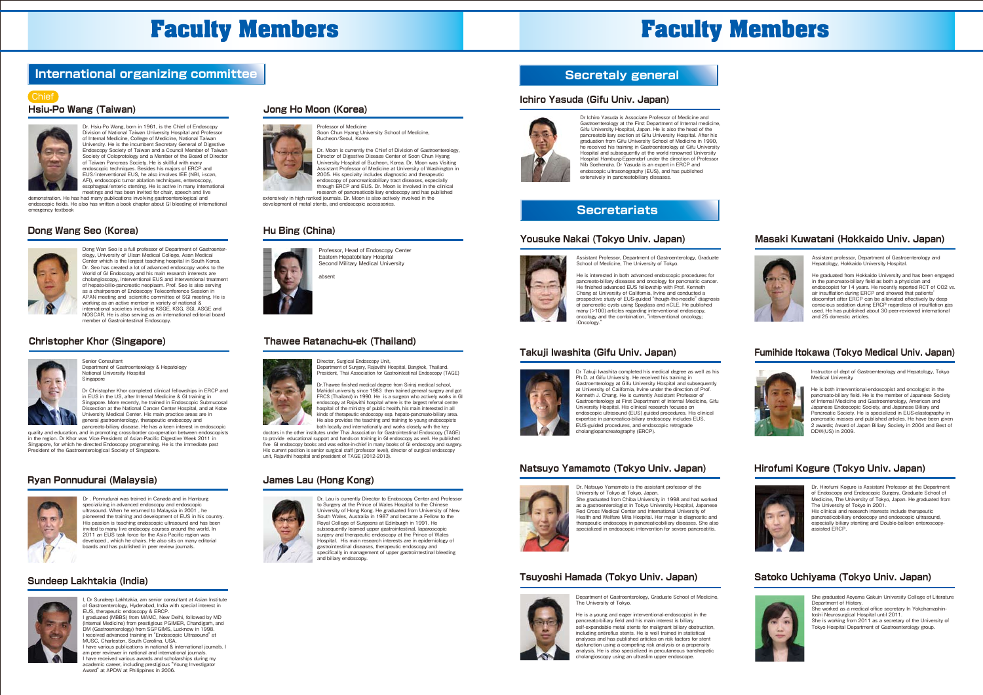### **Hsiu-Po Wang (Taiwan) Jong Ho Moon (Korea)**



Dong Wan Seo is a full professor of Department of Gastroenter ology, University of Ulsan Medical College, Asan Medical Center which is the largest teaching hospital in South Korea. Dr. Seo has created a lot of advanced endoscopy works to the World of GI Endoscopy and his main research interests are cholangioscopy, interventional EUS and interventional treatment of hepato-bilio-pancreatic neoplasm. Prof. Seo is also serving as a chairperson of Endoscopy Teleconference Session in APAN meeting and scientific committee of SGI meeting. He is working as an active member in variety of national & international societies including KSGE, KSG, SGI, ASGE and NOSCAR. He is also serving as an international editorial board member of Gastrointestinal Endoscopy.



### **Dong Wang Seo (Korea)**



Professor, Head of Endoscopy Center Eastern Hepatobiliary Hospital Second Military Medical University

### **Hu Bing (China)**



#### **Christopher Khor (Singapore) Thawee Ratanachu-ek (Thailand)**

ahsen



Dr . Ponnudurai was trained in Canada and in Hamburg specializing in advanced endoscopy and endoscopic ultrasound. When he returned to Malaysia in 2001 , he pioneered the training and development of EUS in his country. His passion is teaching endoscopic ultrasound and has been invited to many live endocopy courses around the world. In 2011 an EUS task force for the Asia Pacific region was developed , which he chairs. He also sits on many editorial boards and has published in peer review journals.

Dr Sundeep Lakhtakia, am senior consultant at Asian Institute of Gastroenterology, Hyderabad, India with special interest in EUS, therapeutic endoscopy & ERCP. I graduated (MBBS) from MAMC, New Delhi, followed by MD (Internal Medicine) from prestigious PGIMER, Chandigarh, and DM (Gastroenterology) from SGPGIMS, Lucknow in 1998. I received advanced training in "Endoscopic Ultrasound" at MUSC, Charleston, South Carolina, USA. I have various publications in national & international journals. m peer reviewer in national and international journals. I have received various awards and scholarships during my

academic career, including prestigious "Young Investigato Award" at APDW at Philippines in 2006.

### **Ryan Ponnudurai (Malaysia)**



to Surgery at the Prince of Wales Hospital to the Chinese University of Hong Kong. He graduated from University of New South Wales, Australia in 1987 and became a Fellow to the Royal College of Surgeons at Edinburgh in 1991. He subsequently learned upper gastrointestinal, laparoscopic surgery and therapeutic endoscopy at the Prince of Wales Hospital. His main research interests are in epidemiology of gastrointestinal diseases, therapeutic endoscopy and specifically in management of upper gastrointestinal bleeding and biliary endoscopy.

Dr. Lau is currently Director to Endoscopy Center and Professor

He graduated from Hokkaido University and has been engaged in the pancreato-biliary field as both a physician and endoscopist for 14 years. He recently reported RCT of CO2 vs. air insufflation during ERCP and showed that patients' discomfort after ERCP can be alleviated effectively by deep conscious sedation during ERCP regardless of insufflation gas used. He has published about 30 peer-reviewed international and 25 domestic articles.

### **James Lau (Hong Kong)**



### **Sundeep Lakhtakia (India)**



Assistant Professor, Department of Gastroenterology, Graduate

School of Medicine, The University of Tokyo. He is interested in both advanced endoscopic procedures for pancreato-biliary diseases and oncology for pancreatic cancer. He finished advanced EUS fellowship with Prof. Kenneth Chang at University of California, Irvine and conducted a prospective study of EUS-guided "though-the-needle" diagnosis of pancreatic cysts using Spyglass and nCLE. He published many (>100) articles regarding interventional endoscopy. oncology and the combination, "interventional oncology;

iOncology."



#### **Yousuke Nakai (Tokyo Univ. Japan)**



Assistant professor, Department of Gastroenterology and Hepatology, Hokkaido University Hospital.

### **Masaki Kuwatani (Hokkaido Univ. Japan)**



Dr Takuji Iwashita completed his medical degree as well as his Ph.D. at Gifu University. He received his training in Gastroenterology at Gifu University Hospital and subsequently at University of California, Irvine under the direction of Prof. Kenneth J. Chang. He is currently Assistant Professor of Gastroenterology at First Department of Internal Medicine, Gifu University Hospital. His clinical research focuses on endoscopic ultrasound (EUS) guided procedures. His clinical expertise in pancreatico-biliary endoscopy includes EUS, EUS-guided procedures, and endoscopic retrograde cholangiopancreatography (ERCP).

### **Takuji Iwashita (Gifu Univ. Japan)**

Instructor of dept of Gastroenterology and Hepatology, Tokyo Medical University

He is both interventional-endoscopist and oncologist in the pancreato-biliary field. He is the member of Japanese Society of Internal Medicine and Gastroenterology, American and Japanese Endoscopic Society, and Japanese Biliary and Pancreatic Society. He is specialized in EUS-elastography in pancreatic masses and published articles. He have been given 2 awards; Award of Japan Biliary Society in 2004 and Best of DDW(US) in 2009.

### **Fumihide Itokawa (Tokyo Medical Univ. Japan)**



Dr. Natsuyo Yamamoto is the assistant professor of the University of Tokyo at Tokyo, Japan. She graduated from Chiba University in 1998 and had worked as a gastroenterologist in Tokyo University Hospital, Japanese Red Cross Medical Center and International University of Health and Welfare Mita Hospital. Her major is diagnostic and therapeutic endoscopy in pancreaticobiliary diseases. She also specialized in endoscopic intervention for severe pancreatitis.

### **Natsuyo Yamamoto (Tokyo Univ. Japan)**



Dr. Hirofumi Kogure is Assistant Professor at the Department of Endoscopy and Endoscopic Surgery, Graduate School of Medicine, The University of Tokyo, Japan. He graduated from The University of Tokyo in 2001.

His clinical and research interests include therapeutic pancreaticobiliary endoscopy and endoscopic ultrasound, especially biliary stenting and Double-balloon enteroscopyassisted ERCP.

### **Hirofumi Kogure (Tokyo Univ. Japan)**





He is a young and eager interventional-endoscopist in the pancreato-biliary field and his main interest is biliary self-expandable metal stents for malignant biliary obstruction, including antireflux stents. He is well trained in statistical analyses and has published articles on risk factors for stent dysfunction using a competing risk analysis or a propensity analysis. He is also specialized in percutaneous transhepatic cholangioscopy using an ultraslim upper endoscope.

### **Tsuyoshi Hamada (Tokyo Univ. Japan)**

She graduated Aoyama Gakuin University College of Literature Department of History.

She worked as a medical office secretary In Yokohamashintoshi Neurosurgical Hospital until 2011. She is working from 2011 as a secretary of the University of

Tokyo Hospital Department of Gastroenterology group.

## **Satoko Uchiyama (Tokyo Univ. Japan)**



Dr Ichiro Yasuda is Associate Professor of Medicine and Gastroenterology at the First Department of Internal medicine, Gifu University Hospital, Japan. He is also the head of the pancreatobiliary section at Gifu University Hospital. After his graduation from Gifu University School of Medicine in 1990, he received his training in Gastroenterology at Gifu University Hospital and subsequently at the world renowned University Hospital Hamburg-Eppendorf under the direction of Professor Nib Soehendra. Dr Yasuda is an expert in ERCP and endoscopic ultrasonography (EUS), and has published extensively in pancreatobiliary diseases.

#### **Ichiro Yasuda (Gifu Univ. Japan)**



## **Secretariats**

Dr. Hsiu-Po Wang, born in 1961, is the Chief of Endoscopy Division of National Taiwan University Hospital and Professor of Internal Medicine, College of Medicine, National Taiwan University. He is the incumbent Secretary General of Digestive Endoscopy Society of Taiwan and a Council Member of Taiwan Society of Coloprotology and a Member of the Board of Director of Taiwan Pancreas Society. He is skillful with many endoscopic techniques. Besides his majors of ERCP and EUS/interventional EUS, he also involves IEE (NBI, i-scan, AFI), endoscopic tumor ablation techniques, enteroscopy, esophageal/enteric stenting. He is active in many international

meetings and has been invited for chair, speech and live demonstration. He has had many publications involving gastroenterological and endoscopic fields. He also has written a book chapter about GI bleeding of international emergency textbook

#### Chief



Senior Consultant Department of Gastroenterology & Hepatology National University Hospital Singapore

Dr Christopher Khor completed clinical fellowships in ERCP and in EUS in the US, after Internal Medicine & GI training in Singapore. More recently, he trained in Endoscopic Submucosal Dissection at the National Cancer Center Hospital, and at Kobe University Medical Center. His main practice areas are in general gastroenterology, therapeutic endoscopy and pancreato-biliary disease. He has a keen interest in endoscopic

quality and education, and in promoting cross-border co-operation between endoscopists in the region. Dr Khor was Vice-President of Asian-Pacific Digestive Week 2011 in Singapore, for which he directed Endoscopy programming. He is the immediate past President of the Gastroenterological Society of Singapore.

Director, Surgical Endoscopy Unit, Department of Surgery, Rajavithi Hospital, Bangkok, Thailand. President, Thai Association for Gastrointestinal Endoscopy (TAGE) Dr.Thawee finished medical degree from Siriraj medical school,

Mahidol university since 1983 then trained general surgery and got FRCS (Thailand) in 1990. He is a surgeon who actively works in GI endoscopy at Rajavithi hospital where is the largest referral centre hospital of the ministry of public health, his main interested in all kinds of therapeutic endoscopy esp. hepato-pancreato-biliary area. He also provides the teaching and training to young endoscopists both locally and internationally and works closely with the key

doctors in the other institutes under Thai Association for Gastrointestinal Endoscopy (TAGE) to provide educational support and hands-on training in GI endoscopy as well. He published five GI endoscopy books and was editor-in-chief in many books of GI endoscopy and surgery. His current position is senior surgical staff (professor level), director of surgical endoscopy unit, Rajavithi hospital and president of TAGE (2012-2013).

Professor of Medicine

Soon Chun Hyang University School of Medicine,

Bucheon/Seoul, Korea

Dr. Moon is currently the Chief of Division of Gastroenterology, Director of Digestive Disease Center of Soon Chun Hyang University Hospital of Bucheon, Korea. Dr. Moon was Visiting Assistant Professor of Medicine at University of Washington in 2005. His specialty includes diagnostic and therapeutic endoscopy of pancreaticobiliary tract diseases, especially through ERCP and EUS. Dr. Moon is involved in the clinical

research of pancreaticobiliary endoscopy and has published extensively in high ranked journals. Dr. Moon is also actively involved in the development of metal stents, and endoscopic accessories.

# **Faculty Members Faculty Members**

# **International organizing committee Secretaly general**